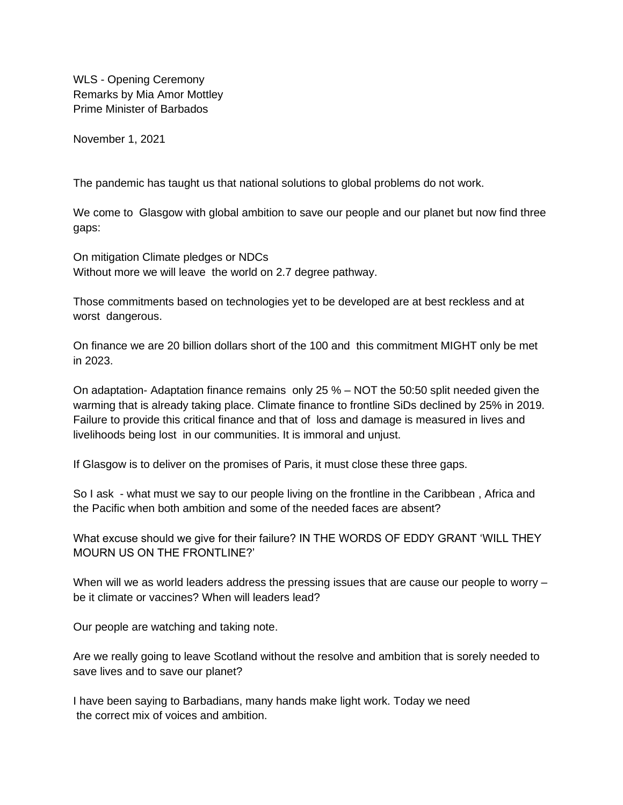WLS - Opening Ceremony Remarks by Mia Amor Mottley Prime Minister of Barbados

November 1, 2021

The pandemic has taught us that national solutions to global problems do not work.

We come to Glasgow with global ambition to save our people and our planet but now find three gaps:

On mitigation Climate pledges or NDCs Without more we will leave the world on 2.7 degree pathway.

Those commitments based on technologies yet to be developed are at best reckless and at worst dangerous.

On finance we are 20 billion dollars short of the 100 and this commitment MIGHT only be met in 2023.

On adaptation- Adaptation finance remains only 25 % – NOT the 50:50 split needed given the warming that is already taking place. Climate finance to frontline SiDs declined by 25% in 2019. Failure to provide this critical finance and that of loss and damage is measured in lives and livelihoods being lost in our communities. It is immoral and unjust.

If Glasgow is to deliver on the promises of Paris, it must close these three gaps.

So I ask - what must we say to our people living on the frontline in the Caribbean , Africa and the Pacific when both ambition and some of the needed faces are absent?

What excuse should we give for their failure? IN THE WORDS OF EDDY GRANT 'WILL THEY MOURN US ON THE FRONTLINE?'

When will we as world leaders address the pressing issues that are cause our people to worry – be it climate or vaccines? When will leaders lead?

Our people are watching and taking note.

Are we really going to leave Scotland without the resolve and ambition that is sorely needed to save lives and to save our planet?

I have been saying to Barbadians, many hands make light work. Today we need the correct mix of voices and ambition.